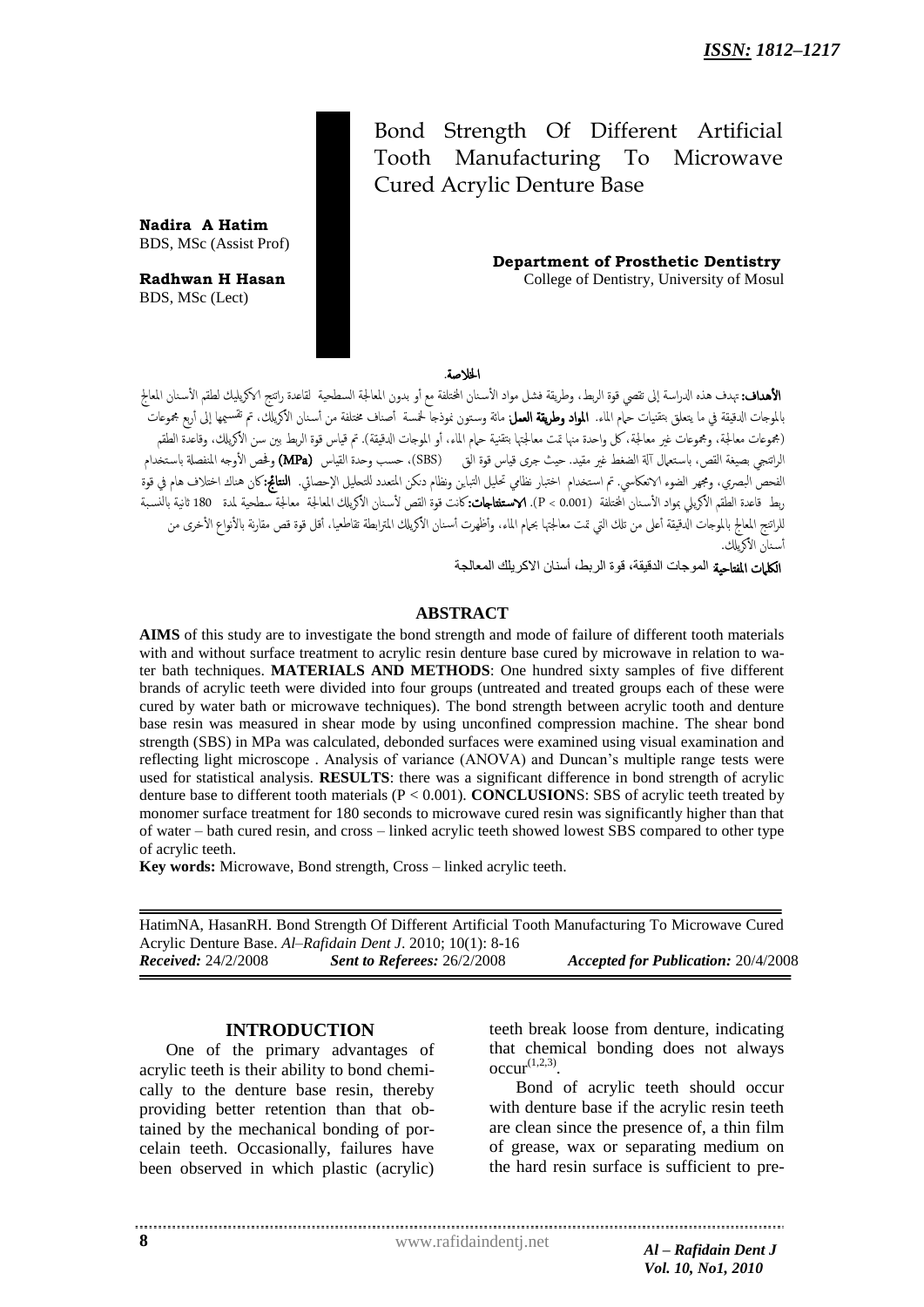Cured Acrylic Denture Base Bond Strength Of Different Artificial Tooth Manufacturing To Microwave

 **Department of Prosthetic Dentistry** 

**Radhwan H Hasan College of Dentistry, University of Mosul** 

**Nadira A Hatim** BDS, MSc (Assist Prof)

BDS, MSc (Lect)

### اخلالضة.

**الأهداف:** تهدف هذه الدراسة إلى تقصي قوة الربط، وطريقة فشل مواد الأسنان المختلفة مع أو بدون المعالجة السطحية لقاعدة راتنج الاكريليك لطقم الأسنان المعالج الموجات الدقيقة في ما يتعلق بتقنيات ح<mark>ام الماء. **المواد وطريقة العمل** م</mark>ائة وستون نموذجا لحمسة أصناف مختلفة من أسنان الأكريلك، تم تقسيمها إلى أربع مجموعات (مجموعات معالجة، ومجموعات غير معالجة، كل واحدة منها تمت معالجتها بتقنية حام الماء، أو الموجات الدقيقة). تم قياس قوة الربط بين سن الأكريلك، وقاعدة الطقم الراتنجي بصيغة القص، باستعمال آلة الضغط غير مقيد. حيث جرى قياس قوة الق (SBS)، حسب وحدة القياس (MPa) وفحص الأوجه المنفصلة باستخدام الفحص البصرى، ومجهر الضوء الانعكاسي. تم استخدام اختبار نظامي تحليل التباين ونظام دنكن المتعدد للتحليل الإحصائي. **النتائج:**كان هناك اختلاف هام في قوة ربط قاعدة الطقم الأكريلي بمواد الأسنان المختلفة (P < 0.001 **\ الاستنتاجات:**كانت قوة القص لأسنان الأكريلك المعالجة معالجة سطحية لمدة 180 ثانية بالنسبة للراتنج المعالج بالموجات الدقيقة أعلى من تلك التي تمت معالجتها بحام الماء، وأظهرت أسنان الأكريلك المترابطة تقاطعيا، أقل قوة قص مقارنة بالأنواع الأخرى من أسنان الأكالك.

الكلمات المفتاحية الموجات الدقيقة، قوة الربط، أسنان الاكريلك المعالجة

### **ABSTRACT**

**AIMS** of this study are to investigate the bond strength and mode of failure of different tooth materials with and without surface treatment to acrylic resin denture base cured by microwave in relation to water bath techniques. **MATERIALS AND METHODS**: One hundred sixty samples of five different brands of acrylic teeth were divided into four groups (untreated and treated groups each of these were cured by water bath or microwave techniques). The bond strength between acrylic tooth and denture base resin was measured in shear mode by using unconfined compression machine. The shear bond strength (SBS) in MPa was calculated, debonded surfaces were examined using visual examination and reflecting light microscope . Analysis of variance (ANOVA) and Duncan's multiple range tests were used for statistical analysis. **RESULTS**: there was a significant difference in bond strength of acrylic denture base to different tooth materials (P < 0.001). **CONCLUSION**S: SBS of acrylic teeth treated by monomer surface treatment for 180 seconds to microwave cured resin was significantly higher than that of water – bath cured resin, and cross – linked acrylic teeth showed lowest SBS compared to other type of acrylic teeth.

**Key words:** Microwave, Bond strength, Cross – linked acrylic teeth.

HatimNA, HasanRH. Bond Strength Of Different Artificial Tooth Manufacturing To Microwave Cured Acrylic Denture Base. *Al–Rafidain Dent J*. 2010; 10(1): 8-16 *Received:* 24/2/2008 *Sent to Referees:* 26/2/2008 *Accepted for Publication:* 20/4/2008

## **INTRODUCTION**

One of the primary advantages of acrylic teeth is their ability to bond chemically to the denture base resin, thereby providing better retention than that obtained by the mechanical bonding of porcelain teeth. Occasionally, failures have been observed in which plastic (acrylic)

teeth break loose from denture, indicating that chemical bonding does not always  $occur^{(1,2,3)}$ .

Bond of acrylic teeth should occur with denture base if the acrylic resin teeth are clean since the presence of, a thin film of grease, wax or separating medium on the hard resin surface is sufficient to pre-

www.rafidaindentj.net *Al – Rafidain Dent J*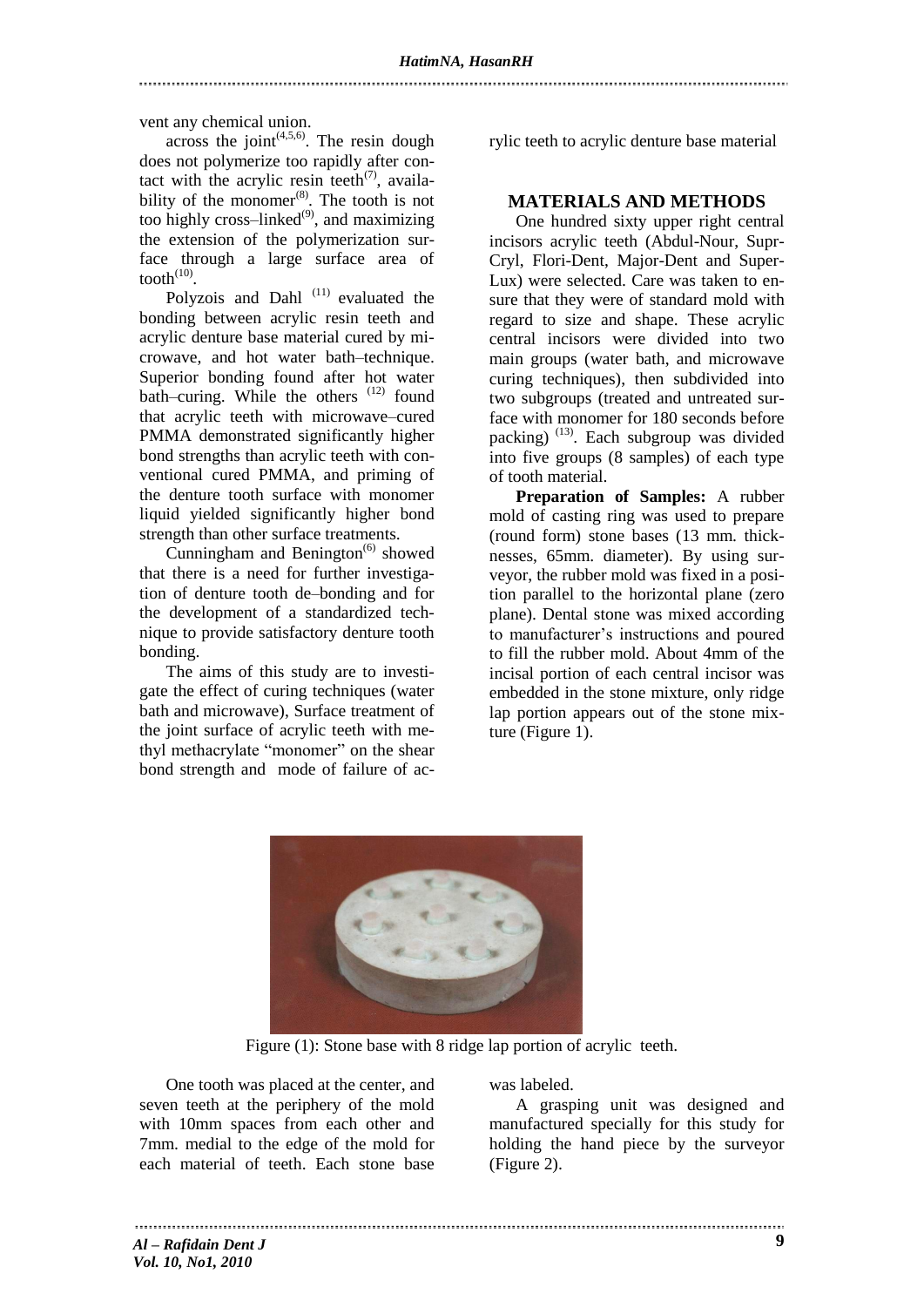vent any chemical union.

across the joint<sup> $(4,5,6)$ </sup>. The resin dough does not polymerize too rapidly after contact with the acrylic resin teeth<sup> $(7)$ </sup>, availability of the monomer $^{(8)}$ . The tooth is not too highly cross–linked $^{(9)}$ , and maximizing the extension of the polymerization surface through a large surface area of tooth $^{(10)}$ .

Polyzois and Dahl<sup>(11)</sup> evaluated the bonding between acrylic resin teeth and acrylic denture base material cured by microwave, and hot water bath–technique. Superior bonding found after hot water bath–curing. While the others (12) found that acrylic teeth with microwave–cured PMMA demonstrated significantly higher bond strengths than acrylic teeth with conventional cured PMMA, and priming of the denture tooth surface with monomer liquid yielded significantly higher bond strength than other surface treatments.

Cunningham and Benington $^{(6)}$  showed that there is a need for further investigation of denture tooth de–bonding and for the development of a standardized technique to provide satisfactory denture tooth bonding.

The aims of this study are to investigate the effect of curing techniques (water bath and microwave), Surface treatment of the joint surface of acrylic teeth with methyl methacrylate "monomer" on the shear bond strength and mode of failure of acrylic teeth to acrylic denture base material

# **MATERIALS AND METHODS**

One hundred sixty upper right central incisors acrylic teeth (Abdul-Nour, Supr-Cryl, Flori-Dent, Major-Dent and Super-Lux) were selected. Care was taken to ensure that they were of standard mold with regard to size and shape. These acrylic central incisors were divided into two main groups (water bath, and microwave curing techniques), then subdivided into two subgroups (treated and untreated surface with monomer for 180 seconds before packing)<sup>(13)</sup>. Each subgroup was divided into five groups (8 samples) of each type of tooth material.

**Preparation of Samples:** A rubber mold of casting ring was used to prepare (round form) stone bases (13 mm. thicknesses, 65mm. diameter). By using surveyor, the rubber mold was fixed in a position parallel to the horizontal plane (zero plane). Dental stone was mixed according to manufacturer's instructions and poured to fill the rubber mold. About 4mm of the incisal portion of each central incisor was embedded in the stone mixture, only ridge lap portion appears out of the stone mixture (Figure 1).



Figure (1): Stone base with 8 ridge lap portion of acrylic teeth.

One tooth was placed at the center, and seven teeth at the periphery of the mold with 10mm spaces from each other and 7mm. medial to the edge of the mold for each material of teeth. Each stone base

was labeled.

A grasping unit was designed and manufactured specially for this study for holding the hand piece by the surveyor (Figure 2).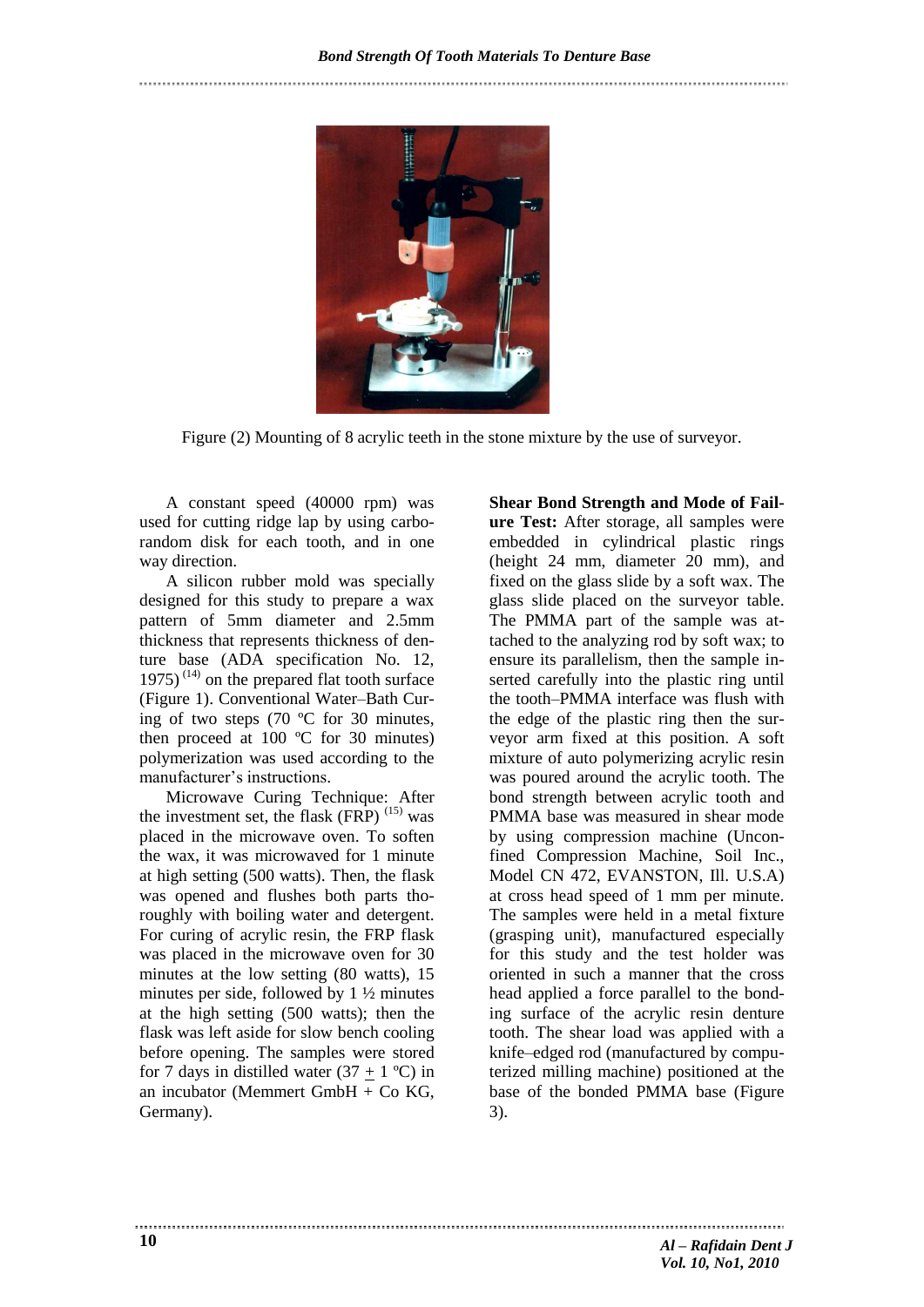

Figure (2) Mounting of 8 acrylic teeth in the stone mixture by the use of surveyor.

A constant speed (40000 rpm) was used for cutting ridge lap by using carborandom disk for each tooth, and in one way direction.

A silicon rubber mold was specially designed for this study to prepare a wax pattern of 5mm diameter and 2.5mm thickness that represents thickness of denture base (ADA specification No. 12, 1975)<sup> $(14)$ </sup> on the prepared flat tooth surface (Figure 1). Conventional Water–Bath Curing of two steps (70 ºC for 30 minutes, then proceed at 100  $^{\circ}$ C for 30 minutes) polymerization was used according to the manufacturer's instructions.

Microwave Curing Technique: After the investment set, the flask  $(FRP)^{(15)}$  was placed in the microwave oven. To soften the wax, it was microwaved for 1 minute at high setting (500 watts). Then, the flask was opened and flushes both parts thoroughly with boiling water and detergent. For curing of acrylic resin, the FRP flask was placed in the microwave oven for 30 minutes at the low setting (80 watts), 15 minutes per side, followed by 1 ½ minutes at the high setting (500 watts); then the flask was left aside for slow bench cooling before opening. The samples were stored for 7 days in distilled water  $(37 + 1 \degree C)$  in an incubator (Memmert GmbH + Co KG, Germany).

**Shear Bond Strength and Mode of Failure Test:** After storage, all samples were embedded in cylindrical plastic rings (height 24 mm, diameter 20 mm), and fixed on the glass slide by a soft wax. The glass slide placed on the surveyor table. The PMMA part of the sample was attached to the analyzing rod by soft wax; to ensure its parallelism, then the sample inserted carefully into the plastic ring until the tooth–PMMA interface was flush with the edge of the plastic ring then the surveyor arm fixed at this position. A soft mixture of auto polymerizing acrylic resin was poured around the acrylic tooth. The bond strength between acrylic tooth and PMMA base was measured in shear mode by using compression machine (Unconfined Compression Machine, Soil Inc., Model CN 472, EVANSTON, Ill. U.S.A) at cross head speed of 1 mm per minute. The samples were held in a metal fixture (grasping unit), manufactured especially for this study and the test holder was oriented in such a manner that the cross head applied a force parallel to the bonding surface of the acrylic resin denture tooth. The shear load was applied with a knife–edged rod (manufactured by computerized milling machine) positioned at the base of the bonded PMMA base (Figure 3).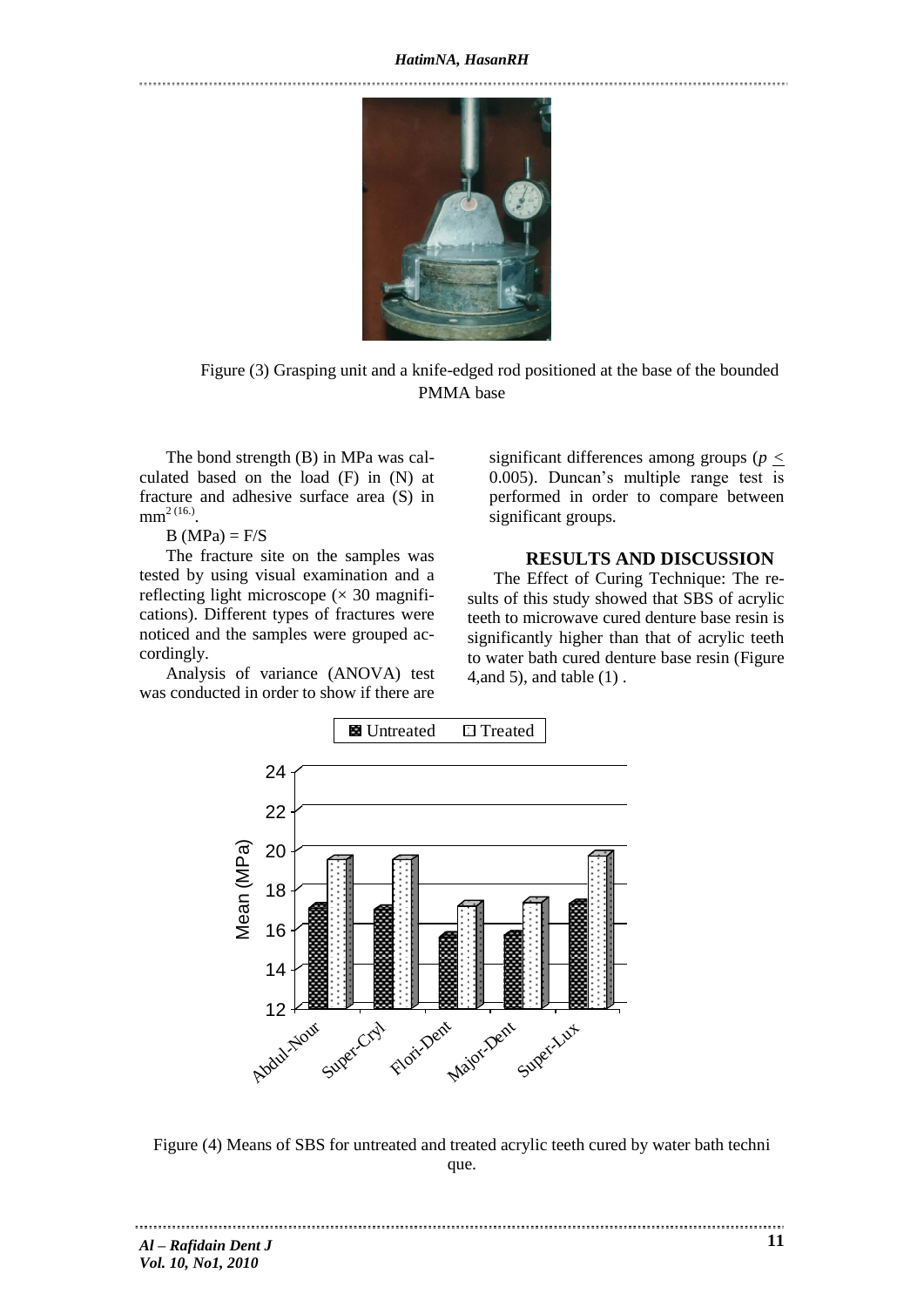#### *HatimNA, HasanRH*

Figure (3) Grasping unit and a knife-edged rod positioned at the base of the bounded PMMA base

The bond strength (B) in MPa was calculated based on the load (F) in (N) at fracture and adhesive surface area (S) in  $mm^{2 (16.)}$ .

 $B(MPa) = F/S$ 

The fracture site on the samples was tested by using visual examination and a reflecting light microscope  $(\times 30$  magnifications). Different types of fractures were noticed and the samples were grouped accordingly.

Analysis of variance (ANOVA) test was conducted in order to show if there are

significant differences among groups (*p <* 0.005). Duncan's multiple range test is performed in order to compare between significant groups.

## **RESULTS AND DISCUSSION**

The Effect of Curing Technique: The results of this study showed that SBS of acrylic teeth to microwave cured denture base resin is significantly higher than that of acrylic teeth to water bath cured denture base resin (Figure 4,and 5), and table (1) .



Figure (4) Means of SBS for untreated and treated acrylic teeth cured by water bath techni que.

*Al – Rafidain Dent J Vol. 10, No1, 2010*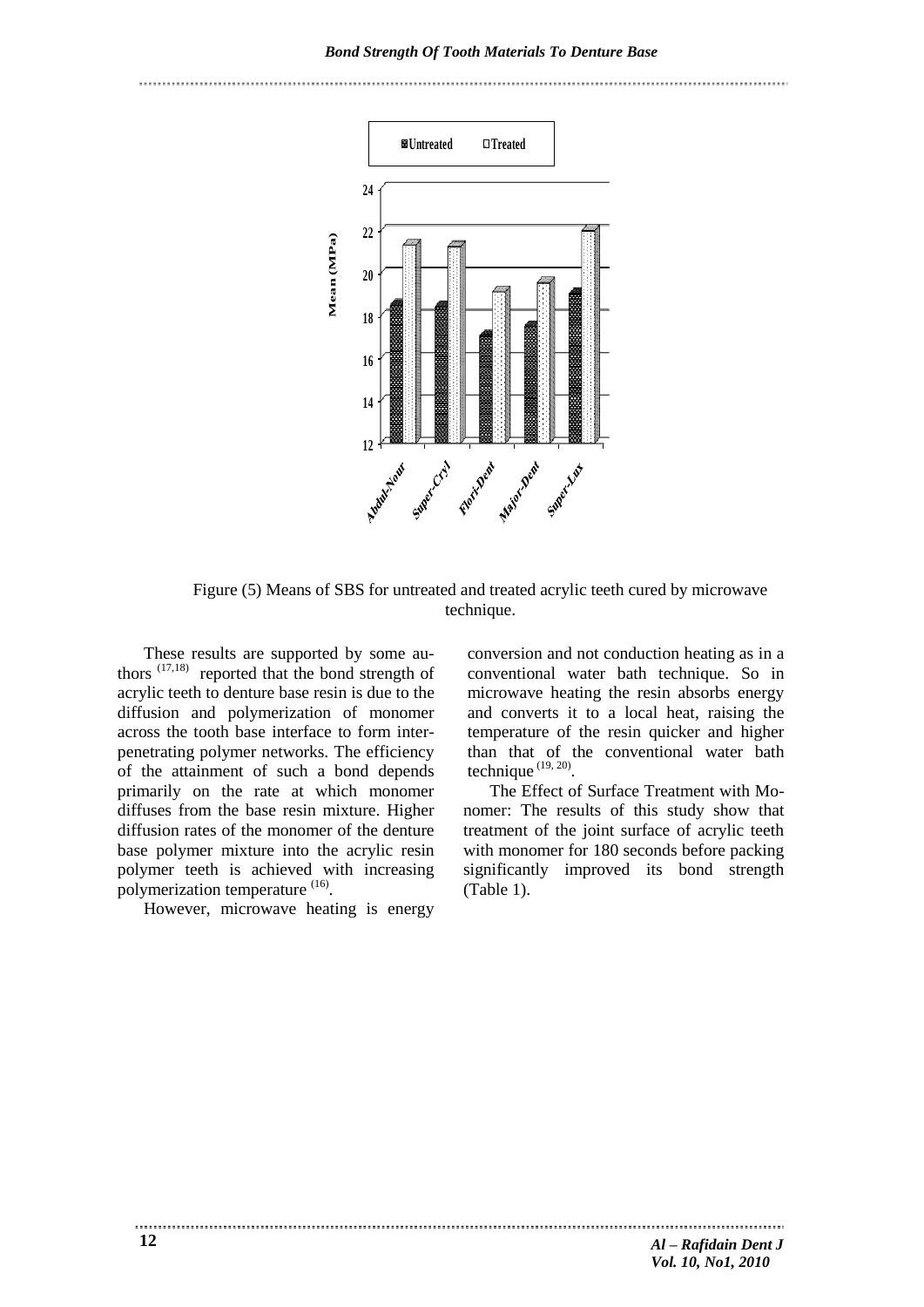

Figure (5) Means of SBS for untreated and treated acrylic teeth cured by microwave technique.

These results are supported by some authors  $(17,18)$  reported that the bond strength of acrylic teeth to denture base resin is due to the diffusion and polymerization of monomer across the tooth base interface to form interpenetrating polymer networks. The efficiency of the attainment of such a bond depends primarily on the rate at which monomer diffuses from the base resin mixture. Higher diffusion rates of the monomer of the denture base polymer mixture into the acrylic resin polymer teeth is achieved with increasing polymerization temperature <sup>(16)</sup>.

However, microwave heating is energy

conversion and not conduction heating as in a conventional water bath technique. So in microwave heating the resin absorbs energy and converts it to a local heat, raising the temperature of the resin quicker and higher than that of the conventional water bath technique  $(19, 20)$ .

The Effect of Surface Treatment with Monomer: The results of this study show that treatment of the joint surface of acrylic teeth with monomer for 180 seconds before packing significantly improved its bond strength (Table 1).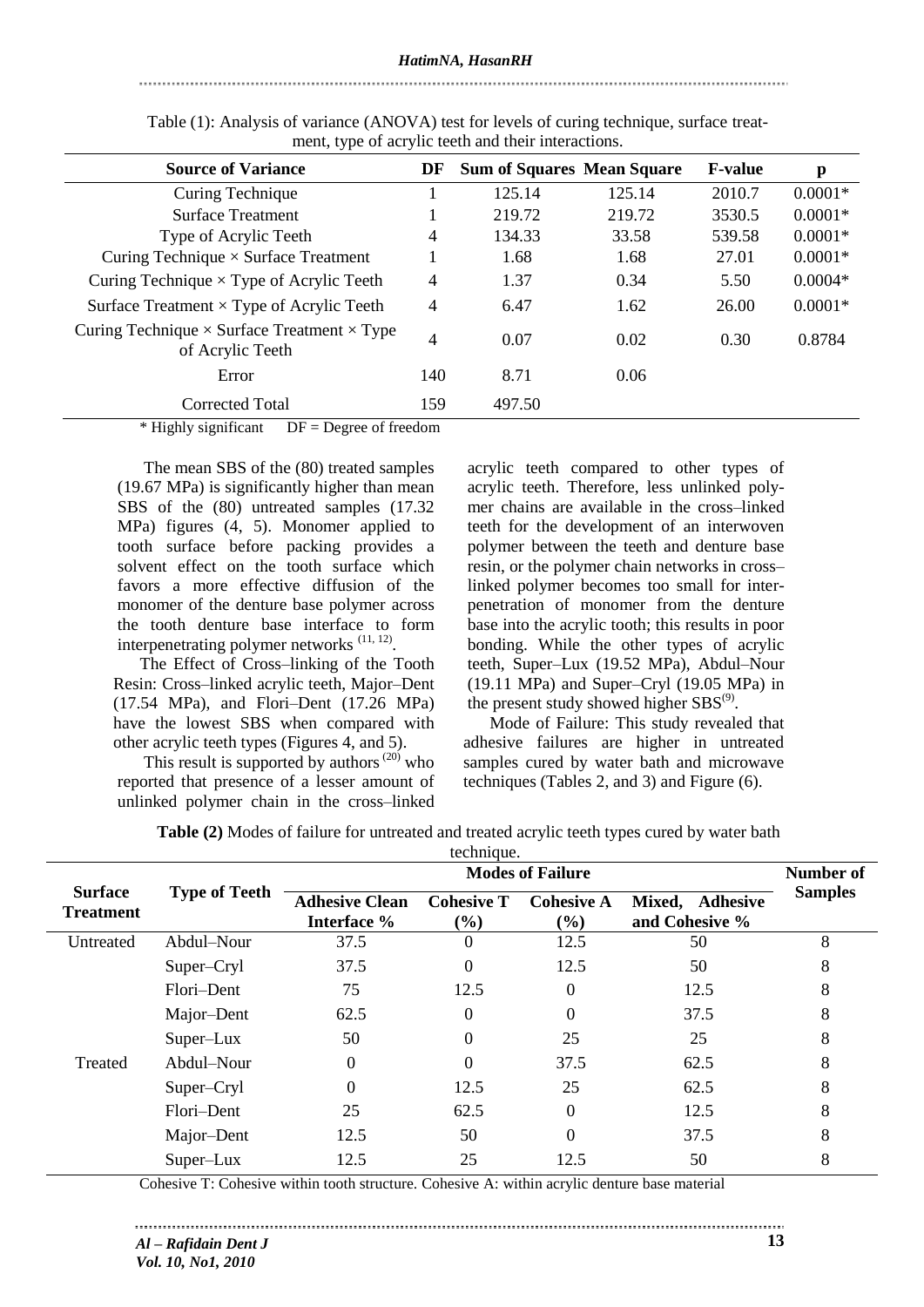#### *HatimNA, HasanRH*

### 

| <b>Source of Variance</b>                                                     | DF  | <b>Sum of Squares Mean Square</b> |        | <b>F-value</b> | p         |  |  |
|-------------------------------------------------------------------------------|-----|-----------------------------------|--------|----------------|-----------|--|--|
| Curing Technique                                                              |     | 125.14                            | 125.14 | 2010.7         | $0.0001*$ |  |  |
| <b>Surface Treatment</b>                                                      | 1   | 219.72                            | 219.72 | 3530.5         | $0.0001*$ |  |  |
| Type of Acrylic Teeth                                                         | 4   | 134.33                            | 33.58  | 539.58         | $0.0001*$ |  |  |
| Curing Technique $\times$ Surface Treatment                                   | л.  | 1.68                              | 1.68   | 27.01          | $0.0001*$ |  |  |
| Curing Technique $\times$ Type of Acrylic Teeth                               | 4   | 1.37                              | 0.34   | 5.50           | $0.0004*$ |  |  |
| Surface Treatment $\times$ Type of Acrylic Teeth                              | 4   | 6.47                              | 1.62   | 26.00          | $0.0001*$ |  |  |
| Curing Technique $\times$ Surface Treatment $\times$ Type<br>of Acrylic Teeth | 4   | 0.07                              | 0.02   | 0.30           | 0.8784    |  |  |
| Error                                                                         | 140 | 8.71                              | 0.06   |                |           |  |  |
| <b>Corrected Total</b>                                                        | 159 | 497.50                            |        |                |           |  |  |

Table (1): Analysis of variance (ANOVA) test for levels of curing technique, surface treatment, type of acrylic teeth and their interactions.

 $*$  Highly significant  $DF = Degree$  of freedom

The mean SBS of the (80) treated samples (19.67 MPa) is significantly higher than mean SBS of the (80) untreated samples (17.32 MPa) figures (4, 5). Monomer applied to tooth surface before packing provides a solvent effect on the tooth surface which favors a more effective diffusion of the monomer of the denture base polymer across the tooth denture base interface to form interpenetrating polymer networks  $(11, 12)$ .

The Effect of Cross–linking of the Tooth Resin: Cross–linked acrylic teeth, Major–Dent (17.54 MPa), and Flori–Dent (17.26 MPa) have the lowest SBS when compared with other acrylic teeth types (Figures 4, and 5).

This result is supported by authors $^{(20)}$  who reported that presence of a lesser amount of unlinked polymer chain in the cross–linked acrylic teeth compared to other types of acrylic teeth. Therefore, less unlinked polymer chains are available in the cross–linked teeth for the development of an interwoven polymer between the teeth and denture base resin, or the polymer chain networks in cross– linked polymer becomes too small for interpenetration of monomer from the denture base into the acrylic tooth; this results in poor bonding. While the other types of acrylic teeth, Super–Lux (19.52 MPa), Abdul–Nour (19.11 MPa) and Super–Cryl (19.05 MPa) in the present study showed higher  $SBS^{(9)}$ .

Mode of Failure: This study revealed that adhesive failures are higher in untreated samples cured by water bath and microwave techniques (Tables 2, and 3) and Figure (6).

| technique.                         |                      |                       |                   |                              |                           |                |
|------------------------------------|----------------------|-----------------------|-------------------|------------------------------|---------------------------|----------------|
|                                    | <b>Type of Teeth</b> |                       | Number of         |                              |                           |                |
| <b>Surface</b><br><b>Treatment</b> |                      | <b>Adhesive Clean</b> | <b>Cohesive T</b> | <b>Cohesive A</b>            | Mixed,<br><b>Adhesive</b> | <b>Samples</b> |
|                                    |                      | Interface %           | (%)               | $\left( \frac{9}{6} \right)$ | and Cohesive %            |                |
| Untreated                          | Abdul-Nour           | 37.5                  | 0                 | 12.5                         | 50                        | 8              |
|                                    | Super-Cryl           | 37.5                  | $\theta$          | 12.5                         | 50                        | 8              |
|                                    | Flori-Dent           | 75                    | 12.5              | 0                            | 12.5                      | 8              |
|                                    | Major-Dent           | 62.5                  | $\theta$          | 0                            | 37.5                      | 8              |
|                                    | Super-Lux            | 50                    | 0                 | 25                           | 25                        | 8              |
| Treated                            | Abdul-Nour           | 0                     | 0                 | 37.5                         | 62.5                      | 8              |
|                                    | Super-Cryl           |                       | 12.5              | 25                           | 62.5                      | 8              |
|                                    | Flori-Dent           | 25                    | 62.5              | 0                            | 12.5                      | 8              |
|                                    | Major-Dent           | 12.5                  | 50                | 0                            | 37.5                      | 8              |
|                                    | Super-Lux            | 12.5                  | 25                | 12.5                         | 50                        | 8              |

Cohesive T: Cohesive within tooth structure. Cohesive A: within acrylic denture base material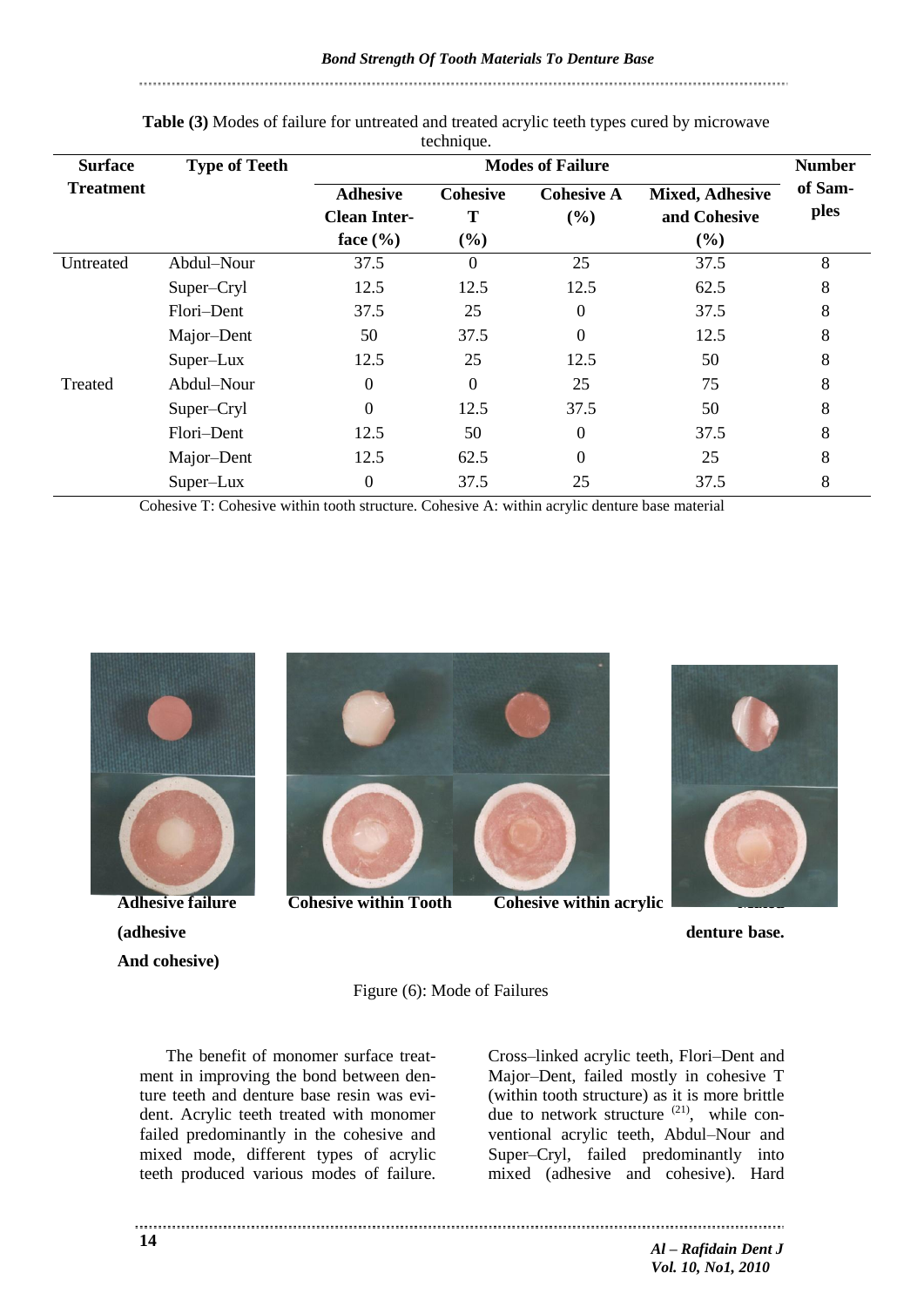*Bond Strength Of Tooth Materials To Denture Base*

| <b>Surface</b>   | <b>Type of Teeth</b> | л.<br><b>Modes of Failure</b>          |                      |                          |                                        |                 |
|------------------|----------------------|----------------------------------------|----------------------|--------------------------|----------------------------------------|-----------------|
| <b>Treatment</b> |                      | <b>Adhesive</b><br><b>Clean Inter-</b> | <b>Cohesive</b><br>T | <b>Cohesive A</b><br>(%) | <b>Mixed, Adhesive</b><br>and Cohesive | of Sam-<br>ples |
|                  |                      | face $(\% )$                           | (%)                  |                          | (%)                                    |                 |
| Untreated        | Abdul-Nour           | 37.5                                   | $\Omega$             | 25                       | 37.5                                   | 8               |
|                  | Super-Cryl           | 12.5                                   | 12.5                 | 12.5                     | 62.5                                   | 8               |
|                  | Flori-Dent           | 37.5                                   | 25                   | $\overline{0}$           | 37.5                                   | 8               |
|                  | Major-Dent           | 50                                     | 37.5                 | $\overline{0}$           | 12.5                                   | 8               |
|                  | Super-Lux            | 12.5                                   | 25                   | 12.5                     | 50                                     | 8               |
| Treated          | Abdul-Nour           | $\theta$                               | $\overline{0}$       | 25                       | 75                                     | 8               |
|                  | Super-Cryl           | $\Omega$                               | 12.5                 | 37.5                     | 50                                     | 8               |
|                  | Flori-Dent           | 12.5                                   | 50                   | $\overline{0}$           | 37.5                                   | 8               |
|                  | Major-Dent           | 12.5                                   | 62.5                 | $\overline{0}$           | 25                                     | 8               |
|                  | Super-Lux            | $\overline{0}$                         | 37.5                 | 25                       | 37.5                                   | 8               |

### **Table (3)** Modes of failure for untreated and treated acrylic teeth types cured by microwave technique.

Cohesive T: Cohesive within tooth structure. Cohesive A: within acrylic denture base material



**(adhesive denture base.) denture base. denture base. denture base. And cohesive)** 



**Adhesive failure Cohesive within Tooth Cohesive within acrylic** 



Figure (6): Mode of Failures

The benefit of monomer surface treatment in improving the bond between denture teeth and denture base resin was evident. Acrylic teeth treated with monomer failed predominantly in the cohesive and mixed mode, different types of acrylic teeth produced various modes of failure.

Cross–linked acrylic teeth, Flori–Dent and Major–Dent, failed mostly in cohesive T (within tooth structure) as it is more brittle due to network structure  $(21)$ , while conventional acrylic teeth, Abdul–Nour and Super–Cryl, failed predominantly into mixed (adhesive and cohesive). Hard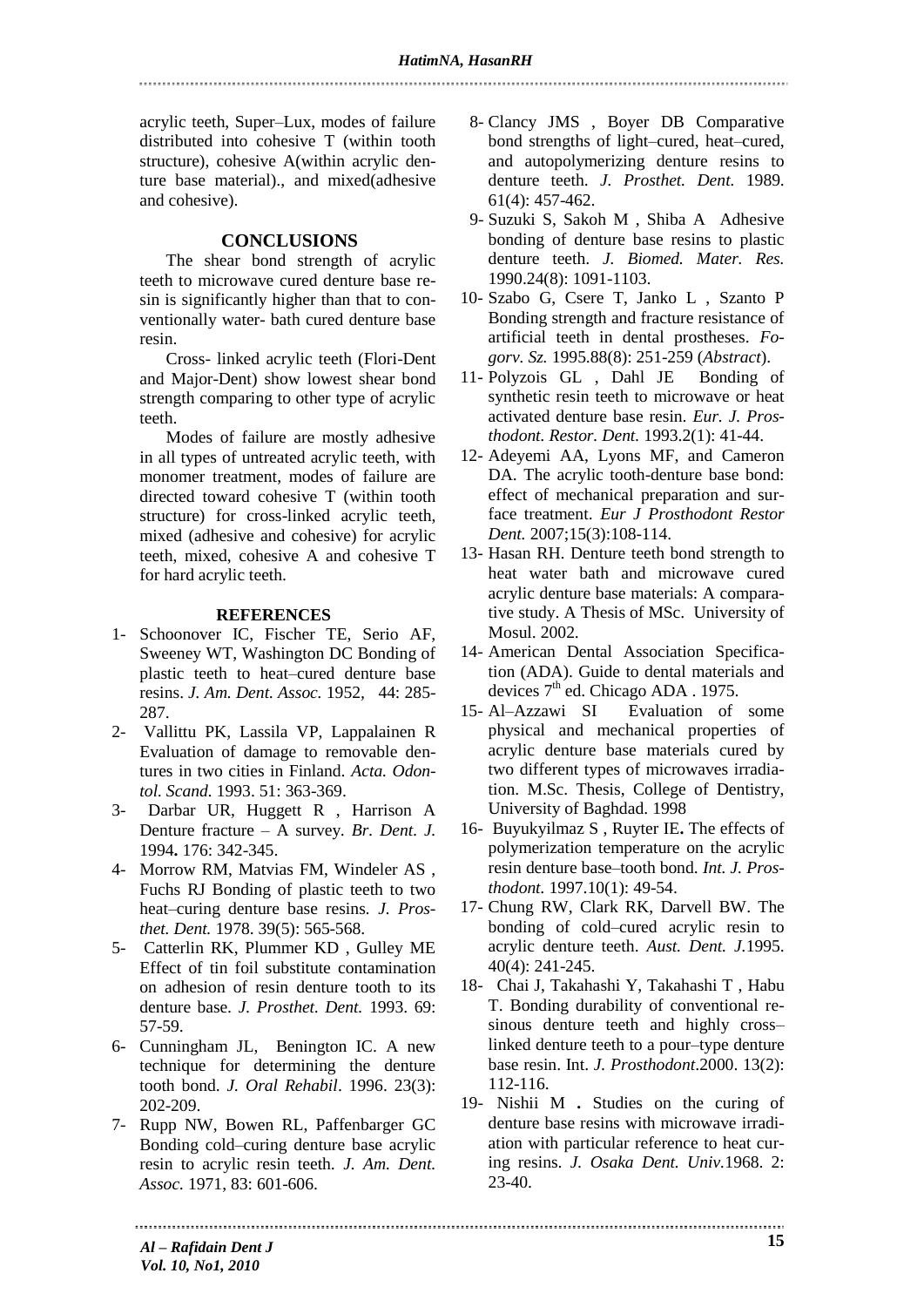acrylic teeth, Super–Lux, modes of failure distributed into cohesive T (within tooth structure), cohesive A(within acrylic denture base material)., and mixed(adhesive and cohesive).

## **CONCLUSIONS**

The shear bond strength of acrylic teeth to microwave cured denture base resin is significantly higher than that to conventionally water- bath cured denture base resin.

Cross- linked acrylic teeth (Flori-Dent and Major-Dent) show lowest shear bond strength comparing to other type of acrylic teeth.

Modes of failure are mostly adhesive in all types of untreated acrylic teeth, with monomer treatment, modes of failure are directed toward cohesive T (within tooth structure) for cross-linked acrylic teeth, mixed (adhesive and cohesive) for acrylic teeth, mixed, cohesive A and cohesive T for hard acrylic teeth.

### **REFERENCES**

- 1- Schoonover IC, Fischer TE, Serio AF, Sweeney WT, Washington DC Bonding of plastic teeth to heat–cured denture base resins. *J. Am. Dent. Assoc.* 1952*,* 44: 285- 287.
- 2- Vallittu PK, Lassila VP, Lappalainen R Evaluation of damage to removable dentures in two cities in Finland. *Acta. Odontol. Scand.* 1993. 51: 363-369.
- 3- Darbar UR, Huggett R , Harrison A Denture fracture – A survey*. Br. Dent. J.* 1994**.** 176: 342-345.
- 4- Morrow RM, Matvias FM, Windeler AS , Fuchs RJ Bonding of plastic teeth to two heat–curing denture base resins*. J. Prosthet. Dent.* 1978. 39(5): 565-568.
- 5- Catterlin RK, Plummer KD , Gulley ME Effect of tin foil substitute contamination on adhesion of resin denture tooth to its denture base*. J. Prosthet. Dent.* 1993. 69: 57-59.
- 6- Cunningham JL, Benington IC. A new technique for determining the denture tooth bond. *J. Oral Rehabil*. 1996. 23(3): 202-209.
- 7- Rupp NW, Bowen RL, Paffenbarger GC Bonding cold–curing denture base acrylic resin to acrylic resin teeth. *J. Am. Dent. Assoc.* 1971, 83: 601-606.
- 8- Clancy JMS , Boyer DB Comparative bond strengths of light–cured, heat–cured, and autopolymerizing denture resins to denture teeth. *J. Prosthet. Dent.* 1989. 61(4): 457-462.
- 9- Suzuki S, Sakoh M , Shiba A Adhesive bonding of denture base resins to plastic denture teeth. *J. Biomed. Mater. Res.* 1990.24(8): 1091-1103.
- 10- Szabo G, Csere T, Janko L , Szanto P Bonding strength and fracture resistance of artificial teeth in dental prostheses. *Fogorv. Sz.* 1995.88(8): 251-259 (*Abstract*).
- 11- Polyzois GL , Dahl JE Bonding of synthetic resin teeth to microwave or heat activated denture base resin. *Eur. J. Prosthodont. Restor. Dent.* 1993.2(1): 41-44.
- 12- Adeyemi AA, Lyons MF, and Cameron DA. The acrylic tooth-denture base bond: effect of mechanical preparation and surface treatment. *Eur J Prosthodont Restor Dent.* 2007;15(3):108-114.
- 13- Hasan RH. Denture teeth bond strength to heat water bath and microwave cured acrylic denture base materials: A comparative study. A Thesis of MSc. University of Mosul. 2002.
- 14- American Dental Association Specification (ADA). Guide to dental materials and devices  $7<sup>th</sup>$  ed. Chicago ADA . 1975.
- 15- Al–Azzawi SI Evaluation of some physical and mechanical properties of acrylic denture base materials cured by two different types of microwaves irradiation. M.Sc. Thesis, College of Dentistry, University of Baghdad. 1998
- 16- Buyukyilmaz S , Ruyter IE**.** The effects of polymerization temperature on the acrylic resin denture base–tooth bond. *Int. J. Prosthodont.* 1997.10(1): 49-54.
- 17- Chung RW, Clark RK, Darvell BW. The bonding of cold–cured acrylic resin to acrylic denture teeth. *Aust. Dent. J.*1995. 40(4): 241-245.
- 18- Chai J, Takahashi Y, Takahashi T , Habu T. Bonding durability of conventional resinous denture teeth and highly cross– linked denture teeth to a pour–type denture base resin. Int. *J. Prosthodont*.2000. 13(2): 112-116.
- 19- Nishii M **.** Studies on the curing of denture base resins with microwave irradiation with particular reference to heat curing resins. *J. Osaka Dent. Univ.*1968. 2: 23-40.